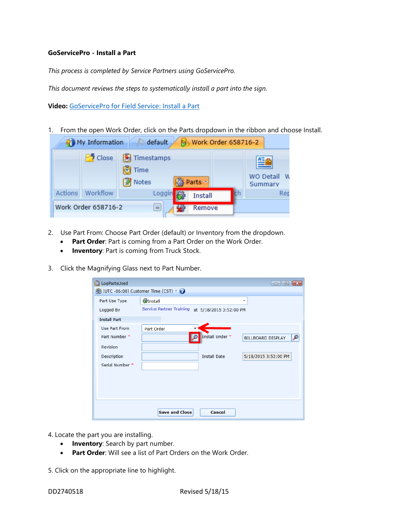## **GoServicePro - Install a Part**

*This process is completed by Service Partners using GoServicePro.*

*This document reviews the steps to systematically install a part into the sign.*

**Video:** [GoServicePro for Field Service: Install a Part](https://gm1.geolearning.com/geonext/daktronics/coursesummary.coursecatalog.geo?id=22507558048)

1. From the open Work Order, click on the Parts dropdown in the ribbon and choose Install.



- 2. Use Part From: Choose Part Order (default) or Inventory from the dropdown.
	- **Part Order**: Part is coming from a Part Order on the Work Order.
	- **Inventory**: Part is coming from Truck Stock.
- 3. Click the Magnifying Glass next to Part Number.

| ß. | LogPartsUsed        |                                                            |                     | $\circ$ 0<br>$-x$             |  |  |  |  |  |  |  |
|----|---------------------|------------------------------------------------------------|---------------------|-------------------------------|--|--|--|--|--|--|--|
|    |                     | (UTC -06:00) Customer Time (CST) v                         |                     |                               |  |  |  |  |  |  |  |
|    | Part Use Type       | <b>静</b> Install                                           |                     |                               |  |  |  |  |  |  |  |
|    | Logged By           | <b>Service Partner Training</b><br>at 5/18/2015 3:52:00 PM |                     |                               |  |  |  |  |  |  |  |
|    | <b>Install Part</b> |                                                            |                     |                               |  |  |  |  |  |  |  |
|    | Use Part From       | Part Order                                                 |                     |                               |  |  |  |  |  |  |  |
|    | Part Number *       |                                                            | Install Under *     | ₽<br><b>BILLBOARD DISPLAY</b> |  |  |  |  |  |  |  |
|    | <b>Revision</b>     |                                                            |                     |                               |  |  |  |  |  |  |  |
|    | Description         |                                                            | <b>Install Date</b> | 5/18/2015 3:52:00 PM          |  |  |  |  |  |  |  |
|    | Serial Number *     |                                                            |                     |                               |  |  |  |  |  |  |  |
|    |                     |                                                            |                     |                               |  |  |  |  |  |  |  |
|    |                     |                                                            |                     |                               |  |  |  |  |  |  |  |
|    |                     |                                                            |                     |                               |  |  |  |  |  |  |  |
|    |                     |                                                            |                     |                               |  |  |  |  |  |  |  |
|    |                     | <b>Save and Close</b>                                      | Cancel              |                               |  |  |  |  |  |  |  |

- 4. Locate the part you are installing.
	- **Inventory:** Search by part number.
	- **Part Order:** Will see a list of Part Orders on the Work Order.

5. Click on the appropriate line to highlight.